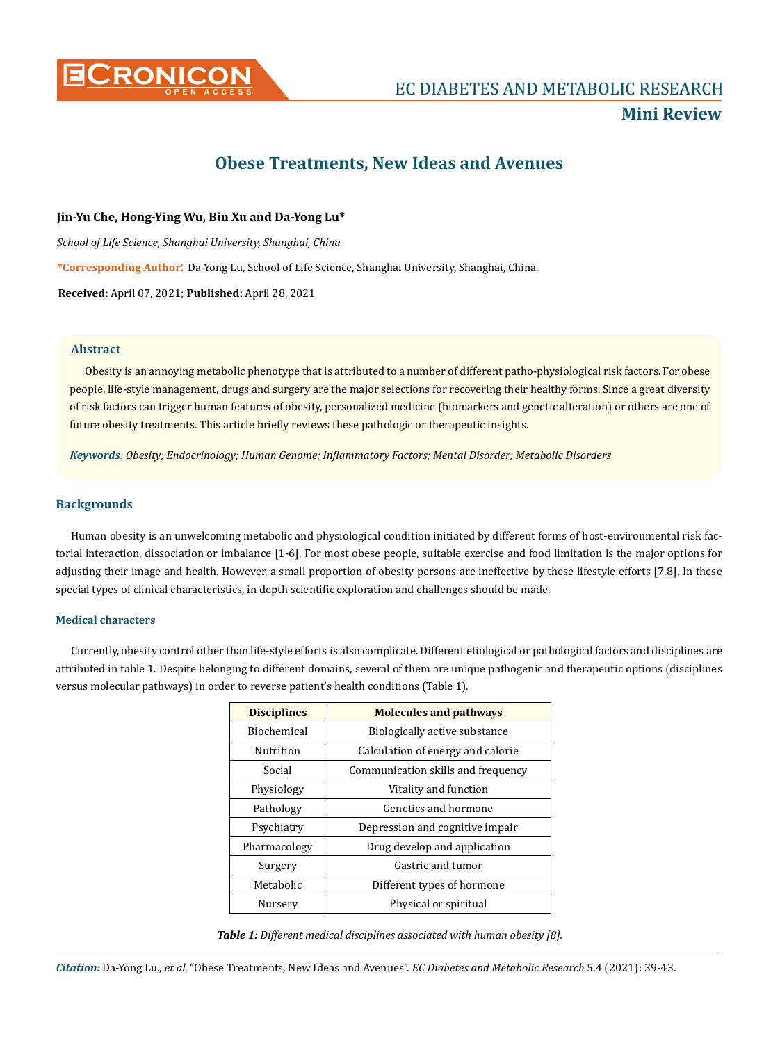

## **Mini Review**

# **Obese Treatments, New Ideas and Avenues**

## **Jin-Yu Che, Hong-Ying Wu, Bin Xu and Da-Yong Lu\***

*School of Life Science, Shanghai University, Shanghai, China*

**\*Corresponding Author**: Da-Yong Lu, School of Life Science, Shanghai University, Shanghai, China.

**Received:** April 07, 2021; **Published:** April 28, 2021

## **Abstract**

Obesity is an annoying metabolic phenotype that is attributed to a number of different patho-physiological risk factors. For obese people, life-style management, drugs and surgery are the major selections for recovering their healthy forms. Since a great diversity of risk factors can trigger human features of obesity, personalized medicine (biomarkers and genetic alteration) or others are one of future obesity treatments. This article briefly reviews these pathologic or therapeutic insights.

*Keywords: Obesity; Endocrinology; Human Genome; Inflammatory Factors; Mental Disorder; Metabolic Disorders*

## **Backgrounds**

Human obesity is an unwelcoming metabolic and physiological condition initiated by different forms of host-environmental risk factorial interaction, dissociation or imbalance [1-6]. For most obese people, suitable exercise and food limitation is the major options for adjusting their image and health. However, a small proportion of obesity persons are ineffective by these lifestyle efforts [7,8]. In these special types of clinical characteristics, in depth scientific exploration and challenges should be made.

### **Medical characters**

Currently, obesity control other than life-style efforts is also complicate. Different etiological or pathological factors and disciplines are attributed in table 1. Despite belonging to different domains, several of them are unique pathogenic and therapeutic options (disciplines versus molecular pathways) in order to reverse patient's health conditions (Table 1).

| <b>Disciplines</b> | <b>Molecules and pathways</b>      |
|--------------------|------------------------------------|
| <b>Biochemical</b> | Biologically active substance      |
| <b>Nutrition</b>   | Calculation of energy and calorie  |
| Social             | Communication skills and frequency |
| Physiology         | Vitality and function              |
| Pathology          | Genetics and hormone               |
| Psychiatry         | Depression and cognitive impair    |
| Pharmacology       | Drug develop and application       |
| Surgery            | Gastric and tumor                  |
| Metabolic          | Different types of hormone         |
| Nurserv            | Physical or spiritual              |

*Table 1: Different medical disciplines associated with human obesity [8].*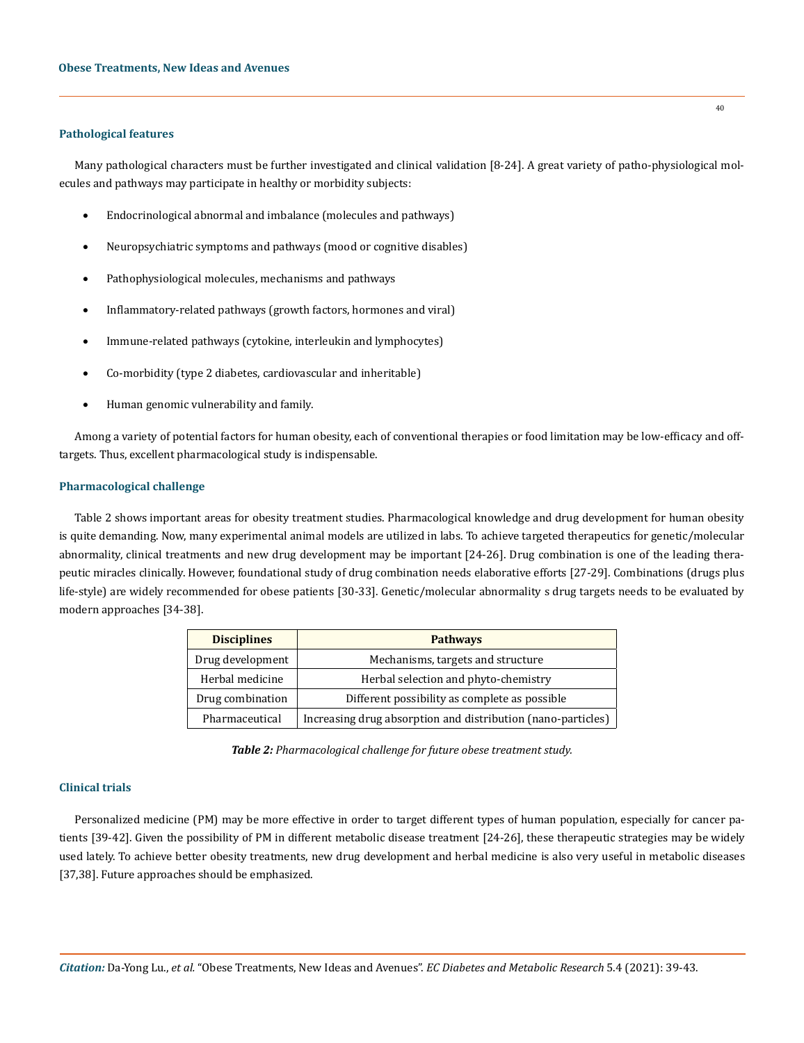#### **Pathological features**

Many pathological characters must be further investigated and clinical validation [8-24]. A great variety of patho-physiological molecules and pathways may participate in healthy or morbidity subjects:

- Endocrinological abnormal and imbalance (molecules and pathways)
- Neuropsychiatric symptoms and pathways (mood or cognitive disables)
- Pathophysiological molecules, mechanisms and pathways
- Inflammatory-related pathways (growth factors, hormones and viral)
- Immune-related pathways (cytokine, interleukin and lymphocytes)
- Co-morbidity (type 2 diabetes, cardiovascular and inheritable)
- Human genomic vulnerability and family.

Among a variety of potential factors for human obesity, each of conventional therapies or food limitation may be low-efficacy and offtargets. Thus, excellent pharmacological study is indispensable.

#### **Pharmacological challenge**

Table 2 shows important areas for obesity treatment studies. Pharmacological knowledge and drug development for human obesity is quite demanding. Now, many experimental animal models are utilized in labs. To achieve targeted therapeutics for genetic/molecular abnormality, clinical treatments and new drug development may be important [24-26]. Drug combination is one of the leading therapeutic miracles clinically. However, foundational study of drug combination needs elaborative efforts [27-29]. Combinations (drugs plus life-style) are widely recommended for obese patients [30-33]. Genetic/molecular abnormality s drug targets needs to be evaluated by modern approaches [34-38].

| <b>Disciplines</b> | <b>Pathways</b>                                              |
|--------------------|--------------------------------------------------------------|
| Drug development   | Mechanisms, targets and structure                            |
| Herbal medicine    | Herbal selection and phyto-chemistry                         |
| Drug combination   | Different possibility as complete as possible                |
| Pharmaceutical     | Increasing drug absorption and distribution (nano-particles) |

*Table 2: Pharmacological challenge for future obese treatment study.*

## **Clinical trials**

Personalized medicine (PM) may be more effective in order to target different types of human population, especially for cancer patients [39-42]. Given the possibility of PM in different metabolic disease treatment [24-26], these therapeutic strategies may be widely used lately. To achieve better obesity treatments, new drug development and herbal medicine is also very useful in metabolic diseases [37,38]. Future approaches should be emphasized.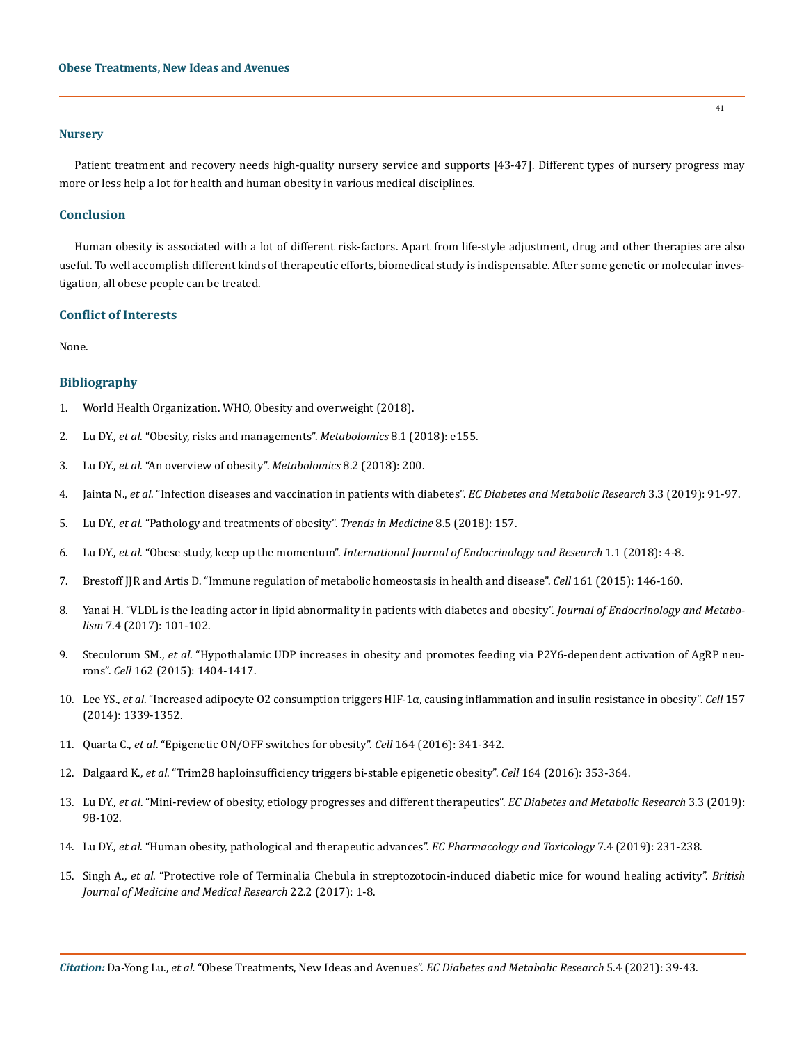#### **Nursery**

Patient treatment and recovery needs high-quality nursery service and supports [43-47]. Different types of nursery progress may more or less help a lot for health and human obesity in various medical disciplines.

#### **Conclusion**

Human obesity is associated with a lot of different risk-factors. Apart from life-style adjustment, drug and other therapies are also useful. To well accomplish different kinds of therapeutic efforts, biomedical study is indispensable. After some genetic or molecular investigation, all obese people can be treated.

#### **Conflict of Interests**

None.

## **Bibliography**

- 1. [World Health Organization. WHO, Obesity and overweight \(2018\).](https://www.who.int/news-room/fact-sheets/detail/obesity-and-overweight)
- 2. Lu DY., *et al*. "Obesity, risks and managements". *Metabolomics* 8.1 (2018): e155.
- 3. Lu DY., *et al*. "An overview of obesity". *Metabolomics* 8.2 (2018): 200.
- 4. Jainta N., *et al*. "Infection diseases and vaccination in patients with diabetes". *EC Diabetes and Metabolic Research* 3.3 (2019): 91-97.
- 5. Lu DY., *et al*[. "Pathology and treatments of obesity".](https://www.oatext.com/pathology-and-treatments-of-obesity.php) *Trends in Medicine* 8.5 (2018): 157.
- 6. Lu DY., *et al*. "Obese study, keep up the momentum". *[International Journal of Endocrinology and Research](https://innovationinfo.org/international-journal-of-endocrinology-research/article/Obese-Study-Keeping-up-Momentum)* 1.1 (2018): 4-8.
- 7. [Brestoff JJR and Artis D. "Immune regulation of metabolic homeostasis in health and disease".](https://pubmed.ncbi.nlm.nih.gov/25815992/) *Cell* 161 (2015): 146-160.
- 8. [Yanai H. "VLDL is the leading actor in lipid abnormality in patients with diabetes and obesity".](https://www.jofem.org/index.php/jofem/article/view/432/508) *Journal of Endocrinology and Metabolism* [7.4 \(2017\): 101-102.](https://www.jofem.org/index.php/jofem/article/view/432/508)
- 9. Steculorum SM., *et al*[. "Hypothalamic UDP increases in obesity and promotes feeding via P2Y6-dependent activation of AgRP neu](https://www.sciencedirect.com/science/article/pii/S0092867415010466)rons". *Cell* [162 \(2015\): 1404-1417.](https://www.sciencedirect.com/science/article/pii/S0092867415010466)
- 10. Lee YS., *et al*[. "Increased adipocyte O2 consumption triggers HIF-1α, causing inflammation and insulin resistance in obesity".](https://pubmed.ncbi.nlm.nih.gov/24906151/) *Cell* 157 [\(2014\): 1339-1352.](https://pubmed.ncbi.nlm.nih.gov/24906151/)
- 11. Quarta C., *et al*[. "Epigenetic ON/OFF switches for obesity".](https://pubmed.ncbi.nlm.nih.gov/26824648/) *Cell* 164 (2016): 341-342.
- 12. Dalgaard K., *et al*[. "Trim28 haploinsufficiency triggers bi-stable epigenetic obesity".](https://pubmed.ncbi.nlm.nih.gov/26824653/) *Cell* 164 (2016): 353-364.
- 13. Lu DY., *et al*[. "Mini-review of obesity, etiology progresses and different therapeutics".](https://www.researchgate.net/publication/333530429_Mini-Review_of_Obesity_Etiology_Progresses_and_Different_Therapeutics) *EC Diabetes and Metabolic Research* 3.3 (2019): [98-102.](https://www.researchgate.net/publication/333530429_Mini-Review_of_Obesity_Etiology_Progresses_and_Different_Therapeutics)
- 14. Lu DY., *et al*[. "Human obesity, pathological and therapeutic advances".](https://www.ecronicon.com/ecpt/pdf/ECPT-07-00279.pdf) *EC Pharmacology and Toxicology* 7.4 (2019): 231-238.
- 15. Singh A., *et al*[. "Protective role of Terminalia Chebula in streptozotocin-induced diabetic mice for wound healing activity".](https://www.journaljammr.com/index.php/JAMMR/article/view/11377) *British [Journal of Medicine and Medical Research](https://www.journaljammr.com/index.php/JAMMR/article/view/11377)* 22.2 (2017): 1-8.

41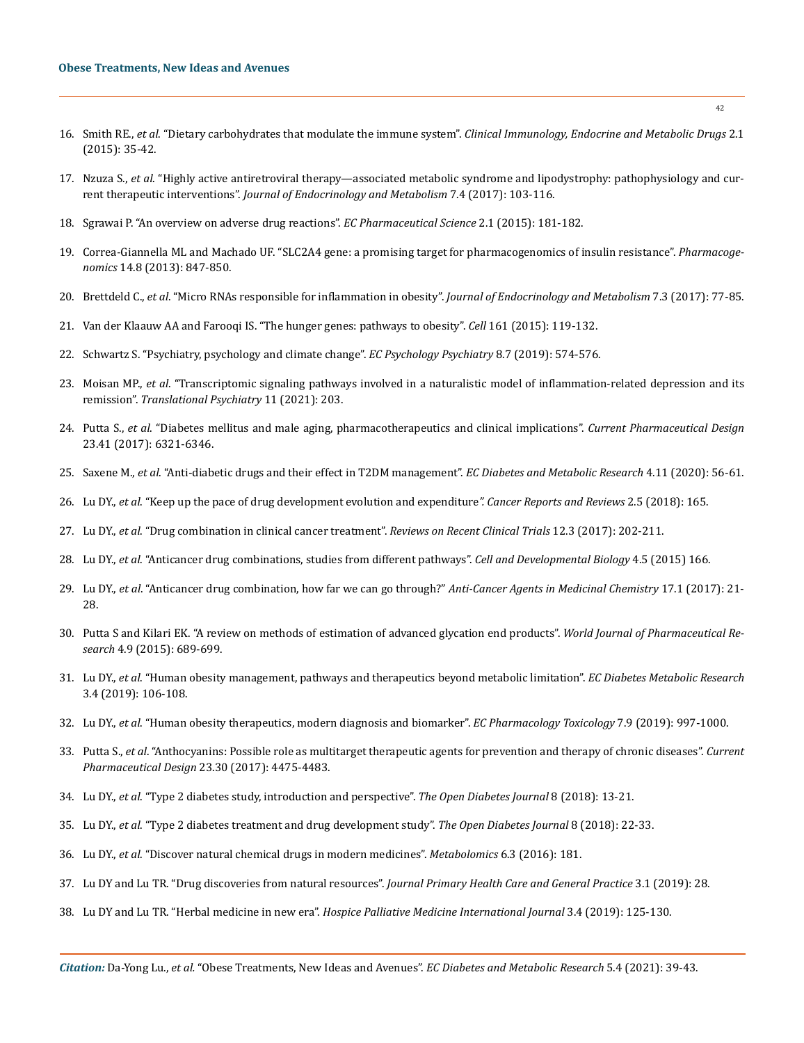#### **Obese Treatments, New Ideas and Avenues**

- 16. Smith RE., *et al*. "Dietary carbohydrates that modulate the immune system". *[Clinical Immunology, Endocrine and Metabolic Drugs](https://www.researchgate.net/publication/287965568_Dietary_Carbohydrates_that_Modulate_the_Immune_System)* 2.1 [\(2015\): 35-42.](https://www.researchgate.net/publication/287965568_Dietary_Carbohydrates_that_Modulate_the_Immune_System)
- 17. Nzuza S., *et al*[. "Highly active antiretroviral therapy—associated metabolic syndrome and lipodystrophy: pathophysiology and cur](https://www.jofem.org/index.php/jofem/article/view/364)rent therapeutic interventions". *[Journal of Endocrinology and Metabolism](https://www.jofem.org/index.php/jofem/article/view/364)* 7.4 (2017): 103-116.
- 18. [Sgrawai P. "An overview on adverse drug reactions".](https://www.ecronicon.com/ecps/pharmaceutical-science-ECPS-02-000020.php) *EC Pharmaceutical Science* 2.1 (2015): 181-182.
- 19. [Correa-Giannella ML and Machado UF. "SLC2A4 gene: a promising target for pharmacogenomics of insulin resistance".](https://pubmed.ncbi.nlm.nih.gov/23746177/) *Pharmacogenomics* [14.8 \(2013\): 847-850.](https://pubmed.ncbi.nlm.nih.gov/23746177/)
- 20. Brettdeld C., *et al*[. "Micro RNAs responsible for inflammation in obesity".](https://www.researchgate.net/publication/317735989_MicroRNAs_Responsible_for_Inflammation_in_Obesity) *Journal of Endocrinology and Metabolism* 7.3 (2017): 77-85.
- 21. [Van der Klaauw AA and Farooqi IS. "The hunger genes: pathways to obesity".](https://www.sciencedirect.com/science/article/pii/S0092867415002615) *Cell* 161 (2015): 119-132.
- 22. [Schwartz S. "Psychiatry, psychology and climate change".](https://www.ecronicon.com/ecpp/pdf/ECPP-08-00503.pdf) *EC Psychology Psychiatry* 8.7 (2019): 574-576.
- 23. Moisan MP., *et al*[. "Transcriptomic signaling pathways involved in a naturalistic model of inflammation-related depression and its](https://pubmed.ncbi.nlm.nih.gov/33824279/)  remission". *[Translational Psychiatry](https://pubmed.ncbi.nlm.nih.gov/33824279/)* 11 (2021): 203.
- 24. Putta S., *et al*[. "Diabetes mellitus and male aging, pharmacotherapeutics and clinical implications".](https://www.eurekaselect.com/155122/article) *Current Pharmaceutical Design* [23.41 \(2017\): 6321-6346.](https://www.eurekaselect.com/155122/article)
- 25. Saxene M., *et al*[. "Anti-diabetic drugs and their effect in T2DM management".](https://www.ecronicon.com/ecdmr/ECDMR-04-00126.php) *EC Diabetes and Metabolic Research* 4.11 (2020): 56-61.
- 26. Lu DY., *et al*[. "Keep up the pace of drug development evolution and expenditure](https://www.oatext.com/keep-up-the-pace-of-drug-development-evolution-and-expenditure.php)*". Cancer Reports and Reviews* 2.5 (2018): 165.
- 27. Lu DY., *et al*[. "Drug combination in clinical cancer treatment".](https://www.ncbi.nlm.nih.gov/pmc/articles/PMC7915944/) *Reviews on Recent Clinical Trials* 12.3 (2017): 202-211.
- 28. Lu DY., *et al*[. "Anticancer drug combinations, studies from different pathways".](https://www.longdom.org/open-access/anticancer-drug-combinations-studies-from-different-pathways-2168-9296-1000166.pdf) *Cell and Developmental Biology* 4.5 (2015) 166.
- 29. Lu DY., *et al*[. "Anticancer drug combination, how far we can go through?"](https://pubmed.ncbi.nlm.nih.gov/27039923/) *Anti-Cancer Agents in Medicinal Chemistry* 17.1 (2017): 21- [28.](https://pubmed.ncbi.nlm.nih.gov/27039923/)
- 30. [Putta S and Kilari EK. "A review on methods of estimation of advanced glycation end products".](https://www.researchgate.net/publication/281523946_A_REVIEW_ON_METHODS_OF_ESTIMATION_OF_ADVANCED_GLYCATION_END_PRODUCTS) *World Journal of Pharmaceutical Research* [4.9 \(2015\): 689-699.](https://www.researchgate.net/publication/281523946_A_REVIEW_ON_METHODS_OF_ESTIMATION_OF_ADVANCED_GLYCATION_END_PRODUCTS)
- 31. Lu DY., *et al*[. "Human obesity management, pathways and therapeutics beyond metabolic limitation".](https://www.researchgate.net/publication/334963233_Human_Obesity_Management_Pathways_and_Therapeutics_Beyond_Metabolic_Limitation) *EC Diabetes Metabolic Research* [3.4 \(2019\): 106-108.](https://www.researchgate.net/publication/334963233_Human_Obesity_Management_Pathways_and_Therapeutics_Beyond_Metabolic_Limitation)
- 32. Lu DY., *et al*[. "Human obesity therapeutics, modern diagnosis and biomarker".](https://www.researchgate.net/publication/335440869_Human_Obesity_Therapeutics_Modern_Diagnosis_and_Biomarkers) *EC Pharmacology Toxicology* 7.9 (2019): 997-1000.
- 33. Putta S., *et al*[. "Anthocyanins: Possible role as multitarget therapeutic agents for prevention and therapy of chronic diseases".](https://www.researchgate.net/publication/316715246_Anthocyanins_Possible_role_as_Multitarget_therapeutic_agents_for_prevention_and_therapy_of_chronic_diseases) *Current [Pharmaceutical Design](https://www.researchgate.net/publication/316715246_Anthocyanins_Possible_role_as_Multitarget_therapeutic_agents_for_prevention_and_therapy_of_chronic_diseases)* 23.30 (2017): 4475-4483.
- 34. Lu DY., *et al*[. "Type 2 diabetes study, introduction and perspective".](https://benthamopen.com/FULLTEXT/TODIAJ-8-13) *The Open Diabetes Journal* 8 (2018): 13-21.
- 35. Lu DY., *et al*[. "Type 2 diabetes treatment and drug development study".](https://benthamopen.com/FULLTEXT/TODIAJ-8-22) *The Open Diabetes Journal* 8 (2018): 22-33.
- 36. Lu DY., *et al*[. "Discover natural chemical drugs in modern medicines".](https://www.hilarispublisher.com/open-access/discover-natural-chemical-drugs-in-modern-medicines-2153-0769-1000181.pdf) *Metabolomics* 6.3 (2016): 181.
- 37. [Lu DY and Lu TR. "Drug discoveries from natural resources".](https://www.ncbi.nlm.nih.gov/pmc/articles/PMC3231566/) *Journal Primary Health Care and General Practice* 3.1 (2019): 28.
- 38. Lu DY and Lu TR. "Herbal medicine in new era". *[Hospice Palliative Medicine International Journal](https://medcraveonline.com/HPMIJ/herbal-medicine-in-new-era.html)* 3.4 (2019): 125-130.